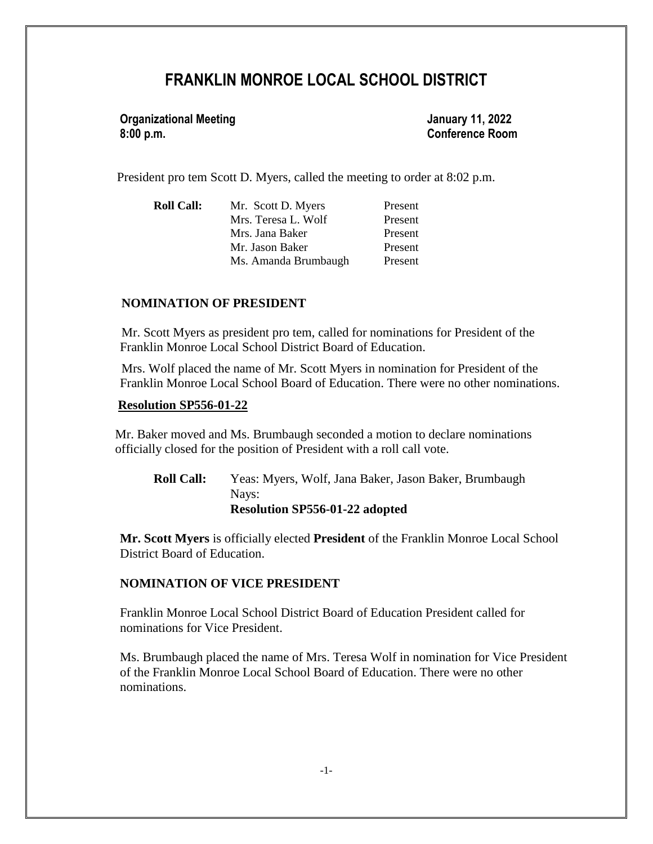# **FRANKLIN MONROE LOCAL SCHOOL DISTRICT**

**Organizational Meeting January 11, 2022 8:00 p.m. Conference Room**

President pro tem Scott D. Myers, called the meeting to order at 8:02 p.m.

| <b>Roll Call:</b> | Mr. Scott D. Myers   | Present |
|-------------------|----------------------|---------|
|                   | Mrs. Teresa L. Wolf  | Present |
|                   | Mrs. Jana Baker      | Present |
|                   | Mr. Jason Baker      | Present |
|                   | Ms. Amanda Brumbaugh | Present |

#### **NOMINATION OF PRESIDENT**

 Mr. Scott Myers as president pro tem, called for nominations for President of the Franklin Monroe Local School District Board of Education.

 Mrs. Wolf placed the name of Mr. Scott Myers in nomination for President of the Franklin Monroe Local School Board of Education. There were no other nominations.

#### **Resolution SP556-01-22**

 Mr. Baker moved and Ms. Brumbaugh seconded a motion to declare nominations officially closed for the position of President with a roll call vote.

**Roll Call:** Yeas: Myers, Wolf, Jana Baker, Jason Baker, Brumbaugh Nays: **Resolution SP556-01-22 adopted**

**Mr. Scott Myers** is officially elected **President** of the Franklin Monroe Local School District Board of Education.

#### **NOMINATION OF VICE PRESIDENT**

Franklin Monroe Local School District Board of Education President called for nominations for Vice President.

Ms. Brumbaugh placed the name of Mrs. Teresa Wolf in nomination for Vice President of the Franklin Monroe Local School Board of Education. There were no other nominations.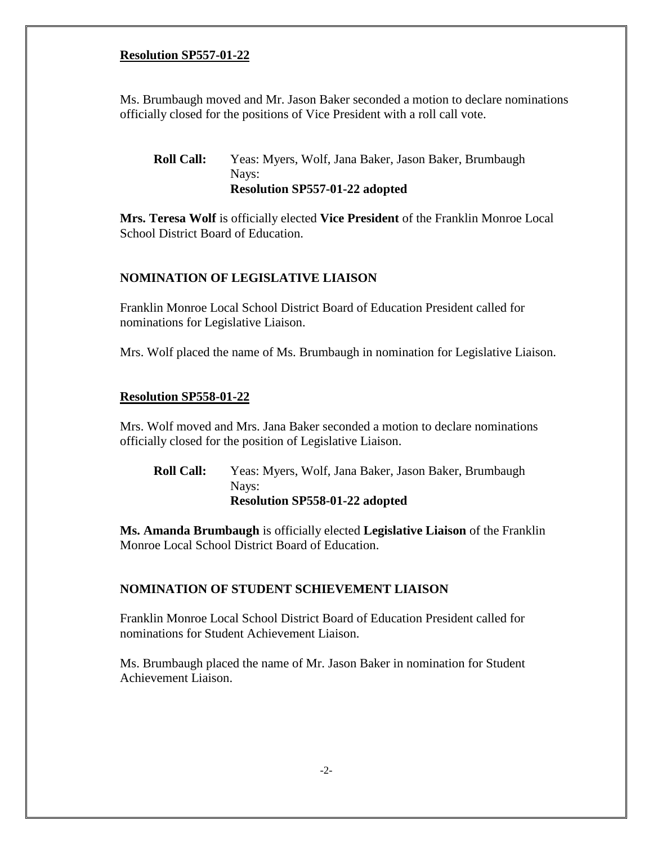## **Resolution SP557-01-22**

Ms. Brumbaugh moved and Mr. Jason Baker seconded a motion to declare nominations officially closed for the positions of Vice President with a roll call vote.

## **Roll Call:** Yeas: Myers, Wolf, Jana Baker, Jason Baker, Brumbaugh Nays: **Resolution SP557-01-22 adopted**

**Mrs. Teresa Wolf** is officially elected **Vice President** of the Franklin Monroe Local School District Board of Education.

## **NOMINATION OF LEGISLATIVE LIAISON**

Franklin Monroe Local School District Board of Education President called for nominations for Legislative Liaison.

Mrs. Wolf placed the name of Ms. Brumbaugh in nomination for Legislative Liaison.

## **Resolution SP558-01-22**

Mrs. Wolf moved and Mrs. Jana Baker seconded a motion to declare nominations officially closed for the position of Legislative Liaison.

**Roll Call:** Yeas: Myers, Wolf, Jana Baker, Jason Baker, Brumbaugh Nays: **Resolution SP558-01-22 adopted**

**Ms. Amanda Brumbaugh** is officially elected **Legislative Liaison** of the Franklin Monroe Local School District Board of Education.

## **NOMINATION OF STUDENT SCHIEVEMENT LIAISON**

Franklin Monroe Local School District Board of Education President called for nominations for Student Achievement Liaison.

Ms. Brumbaugh placed the name of Mr. Jason Baker in nomination for Student Achievement Liaison.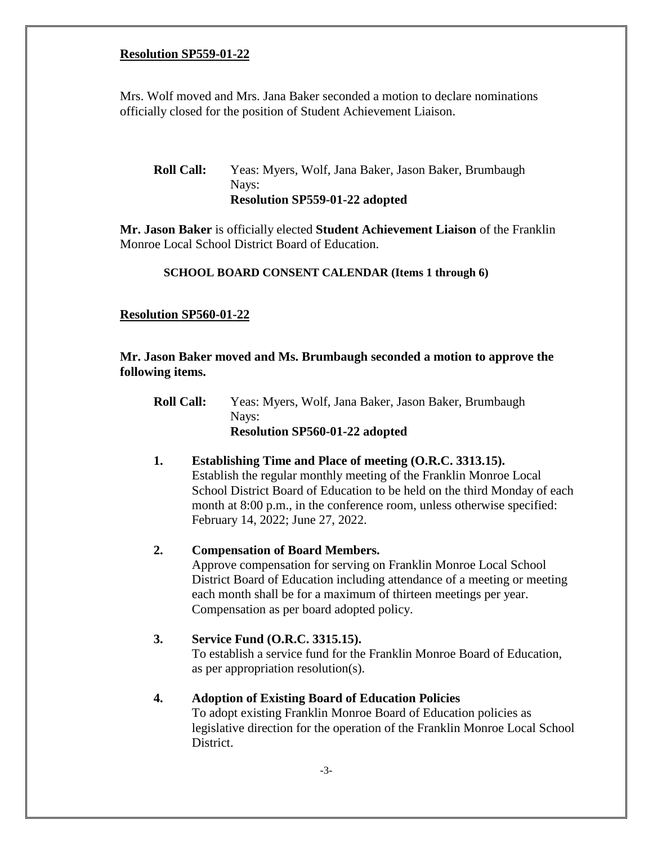#### **Resolution SP559-01-22**

Mrs. Wolf moved and Mrs. Jana Baker seconded a motion to declare nominations officially closed for the position of Student Achievement Liaison.

## **Roll Call:** Yeas: Myers, Wolf, Jana Baker, Jason Baker, Brumbaugh Nays: **Resolution SP559-01-22 adopted**

**Mr. Jason Baker** is officially elected **Student Achievement Liaison** of the Franklin Monroe Local School District Board of Education.

#### **SCHOOL BOARD CONSENT CALENDAR (Items 1 through 6)**

## **Resolution SP560-01-22**

## **Mr. Jason Baker moved and Ms. Brumbaugh seconded a motion to approve the following items.**

**Roll Call:** Yeas: Myers, Wolf, Jana Baker, Jason Baker, Brumbaugh Nays: **Resolution SP560-01-22 adopted**

## **1. Establishing Time and Place of meeting (O.R.C. 3313.15).**  Establish the regular monthly meeting of the Franklin Monroe Local School District Board of Education to be held on the third Monday of each month at 8:00 p.m., in the conference room, unless otherwise specified: February 14, 2022; June 27, 2022.

## **2. Compensation of Board Members.**

Approve compensation for serving on Franklin Monroe Local School District Board of Education including attendance of a meeting or meeting each month shall be for a maximum of thirteen meetings per year. Compensation as per board adopted policy.

## **3. Service Fund (O.R.C. 3315.15).**

To establish a service fund for the Franklin Monroe Board of Education, as per appropriation resolution(s).

## **4. Adoption of Existing Board of Education Policies**

To adopt existing Franklin Monroe Board of Education policies as legislative direction for the operation of the Franklin Monroe Local School District.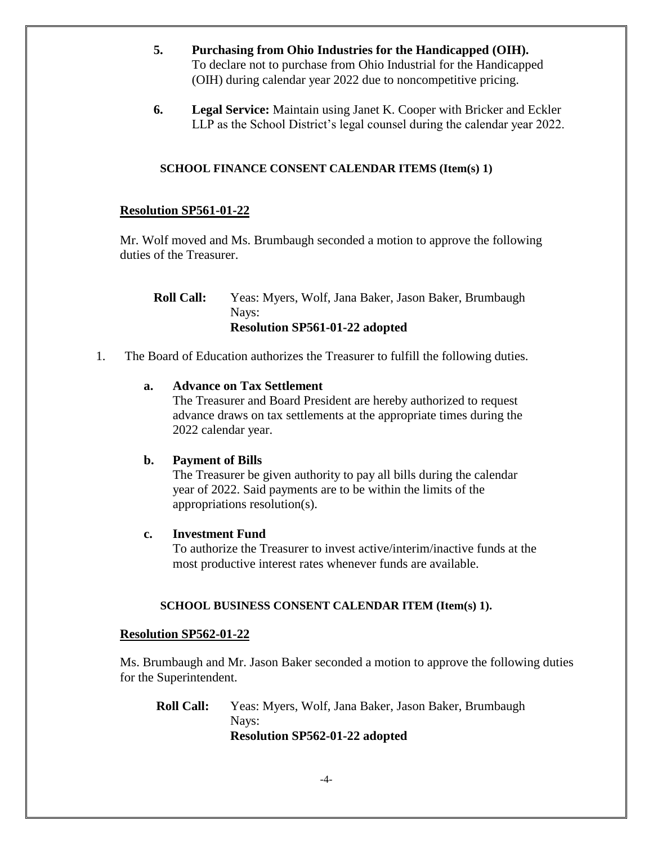- **5. Purchasing from Ohio Industries for the Handicapped (OIH).** To declare not to purchase from Ohio Industrial for the Handicapped (OIH) during calendar year 2022 due to noncompetitive pricing.
- **6. Legal Service:** Maintain using Janet K. Cooper with Bricker and Eckler LLP as the School District's legal counsel during the calendar year 2022.

## **SCHOOL FINANCE CONSENT CALENDAR ITEMS (Item(s) 1)**

## **Resolution SP561-01-22**

Mr. Wolf moved and Ms. Brumbaugh seconded a motion to approve the following duties of the Treasurer.

**Roll Call:** Yeas: Myers, Wolf, Jana Baker, Jason Baker, Brumbaugh Nays: **Resolution SP561-01-22 adopted**

1. The Board of Education authorizes the Treasurer to fulfill the following duties.

## **a. Advance on Tax Settlement**

The Treasurer and Board President are hereby authorized to request advance draws on tax settlements at the appropriate times during the 2022 calendar year.

## **b. Payment of Bills**

The Treasurer be given authority to pay all bills during the calendar year of 2022. Said payments are to be within the limits of the appropriations resolution(s).

## **c. Investment Fund**

To authorize the Treasurer to invest active/interim/inactive funds at the most productive interest rates whenever funds are available.

## **SCHOOL BUSINESS CONSENT CALENDAR ITEM (Item(s) 1).**

## **Resolution SP562-01-22**

Ms. Brumbaugh and Mr. Jason Baker seconded a motion to approve the following duties for the Superintendent.

**Roll Call:** Yeas: Myers, Wolf, Jana Baker, Jason Baker, Brumbaugh Nays: **Resolution SP562-01-22 adopted**